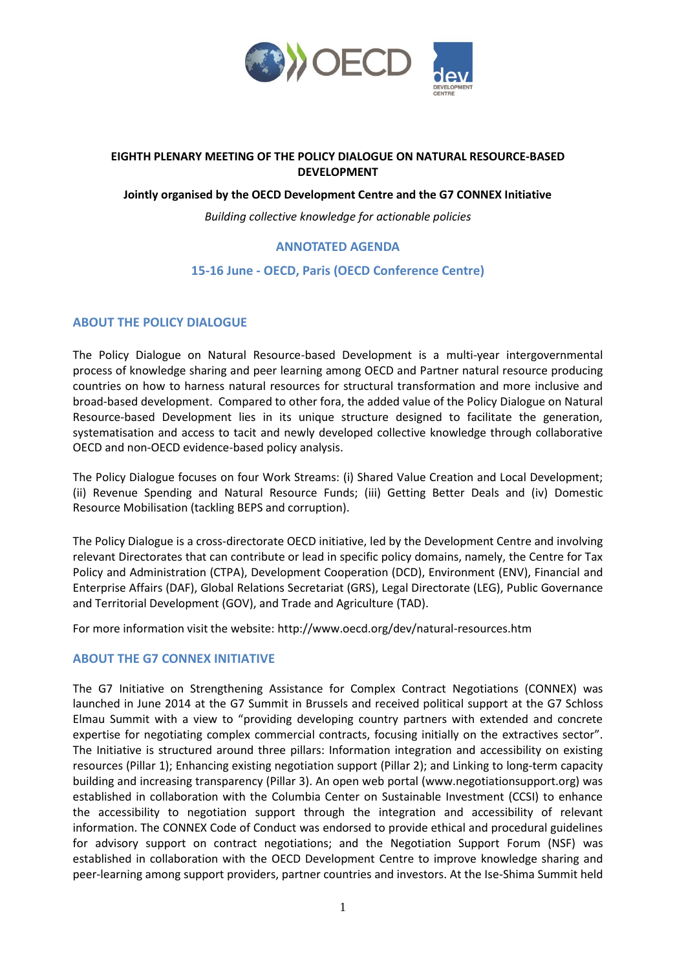

# **EIGHTH PLENARY MEETING OF THE POLICY DIALOGUE ON NATURAL RESOURCE-BASED DEVELOPMENT**

#### **Jointly organised by the OECD Development Centre and the G7 CONNEX Initiative**

*Building collective knowledge for actionable policies*

# **ANNOTATED AGENDA**

# **15-16 June - OECD, Paris (OECD Conference Centre)**

#### **ABOUT THE POLICY DIALOGUE**

The Policy Dialogue on Natural Resource-based Development is a multi-year intergovernmental process of knowledge sharing and peer learning among OECD and Partner natural resource producing countries on how to harness natural resources for structural transformation and more inclusive and broad-based development. Compared to other fora, the added value of the Policy Dialogue on Natural Resource-based Development lies in its unique structure designed to facilitate the generation, systematisation and access to tacit and newly developed collective knowledge through collaborative OECD and non-OECD evidence-based policy analysis.

The Policy Dialogue focuses on four Work Streams: (i) Shared Value Creation and Local Development; (ii) Revenue Spending and Natural Resource Funds; (iii) Getting Better Deals and (iv) Domestic Resource Mobilisation (tackling BEPS and corruption).

The Policy Dialogue is a cross-directorate OECD initiative, led by the Development Centre and involving relevant Directorates that can contribute or lead in specific policy domains, namely, the Centre for Tax Policy and Administration (CTPA), Development Cooperation (DCD), Environment (ENV), Financial and Enterprise Affairs (DAF), Global Relations Secretariat (GRS), Legal Directorate (LEG), Public Governance and Territorial Development (GOV), and Trade and Agriculture (TAD).

For more information visit the website:<http://www.oecd.org/dev/natural-resources.htm>

#### **ABOUT THE G7 CONNEX INITIATIVE**

The G7 Initiative on Strengthening Assistance for Complex Contract Negotiations (CONNEX) was launched in June 2014 at the G7 Summit in Brussels and received political support at the G7 Schloss Elmau Summit with a view to "providing developing country partners with extended and concrete expertise for negotiating complex commercial contracts, focusing initially on the extractives sector". The Initiative is structured around three pillars: Information integration and accessibility on existing resources (Pillar 1); Enhancing existing negotiation support (Pillar 2); and Linking to long-term capacity building and increasing transparency (Pillar 3). An open web portal (www.negotiationsupport.org) was established in collaboration with the Columbia Center on Sustainable Investment (CCSI) to enhance the accessibility to negotiation support through the integration and accessibility of relevant information. The CONNEX Code of Conduct was endorsed to provide ethical and procedural guidelines for advisory support on contract negotiations; and the Negotiation Support Forum (NSF) was established in collaboration with the OECD Development Centre to improve knowledge sharing and peer-learning among support providers, partner countries and investors. At the Ise-Shima Summit held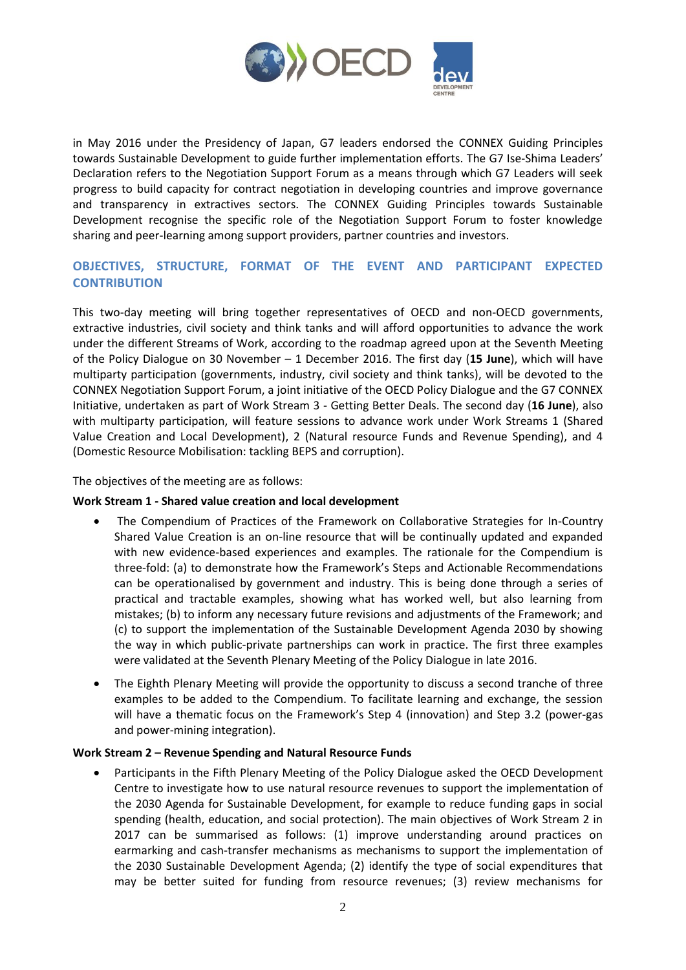

in May 2016 under the Presidency of Japan, G7 leaders endorsed the [CONNEX Guiding Principles](http://www.mofa.go.jp/files/000159934.pdf)  [towards Sustainable Development](http://www.mofa.go.jp/files/000159934.pdf) to guide further implementation efforts. The G7 Ise-Shima Leaders' Declaration refers to the Negotiation Support Forum as a means through which G7 Leaders will seek progress to build capacity for contract negotiation in developing countries and improve governance and transparency in extractives sectors. The CONNEX Guiding Principles towards Sustainable Development recognise the specific role of the Negotiation Support Forum to foster knowledge sharing and peer-learning among support providers, partner countries and investors.

# **OBJECTIVES, STRUCTURE, FORMAT OF THE EVENT AND PARTICIPANT EXPECTED CONTRIBUTION**

This two-day meeting will bring together representatives of OECD and non-OECD governments, extractive industries, civil society and think tanks and will afford opportunities to advance the work under the different Streams of Work, according to the [roadmap](http://www.oecd.org/dev/inclusivesocietiesanddevelopment/seventh-meeting-of-the-pd-nr-nov-dec-2016.htm) agreed upon at the Seventh Meeting of the Policy Dialogue on 30 November – 1 December 2016. The first day (**15 June**), which will have multiparty participation (governments, industry, civil society and think tanks), will be devoted to the CONNEX Negotiation Support Forum, a joint initiative of the OECD Policy Dialogue and the G7 CONNEX Initiative, undertaken as part of Work Stream 3 - Getting Better Deals. The second day (**16 June**), also with multiparty participation, will feature sessions to advance work under Work Streams 1 (Shared Value Creation and Local Development), 2 (Natural resource Funds and Revenue Spending), and 4 (Domestic Resource Mobilisation: tackling BEPS and corruption).

The objectives of the meeting are as follows:

#### **Work Stream 1 - Shared value creation and local development**

- The Compendium of Practices of the Framework on Collaborative Strategies for In-Country Shared Value Creation is an on-line resource that will be continually updated and expanded with new evidence-based experiences and examples. The rationale for the Compendium is three-fold: (a) to demonstrate how the Framework's Steps and Actionable Recommendations can be operationalised by government and industry. This is being done through a series of practical and tractable examples, showing what has worked well, but also learning from mistakes; (b) to inform any necessary future revisions and adjustments of the Framework; and (c) to support the implementation of the Sustainable Development Agenda 2030 by showing the way in which public-private partnerships can work in practice. The first three examples were validated at the Seventh Plenary Meeting of the Policy Dialogue in late 2016.
- The Eighth Plenary Meeting will provide the opportunity to discuss a second tranche of three examples to be added to the Compendium. To facilitate learning and exchange, the session will have a thematic focus on the Framework's Step 4 (innovation) and Step 3.2 (power-gas and power-mining integration).

#### **Work Stream 2 – Revenue Spending and Natural Resource Funds**

 Participants in the Fifth Plenary Meeting of the Policy Dialogue asked the OECD Development Centre to investigate how to use natural resource revenues to support the implementation of the 2030 Agenda for Sustainable Development, for example to reduce funding gaps in social spending (health, education, and social protection). The main objectives of Work Stream 2 in 2017 can be summarised as follows: (1) improve understanding around practices on earmarking and cash-transfer mechanisms as mechanisms to support the implementation of the 2030 Sustainable Development Agenda; (2) identify the type of social expenditures that may be better suited for funding from resource revenues; (3) review mechanisms for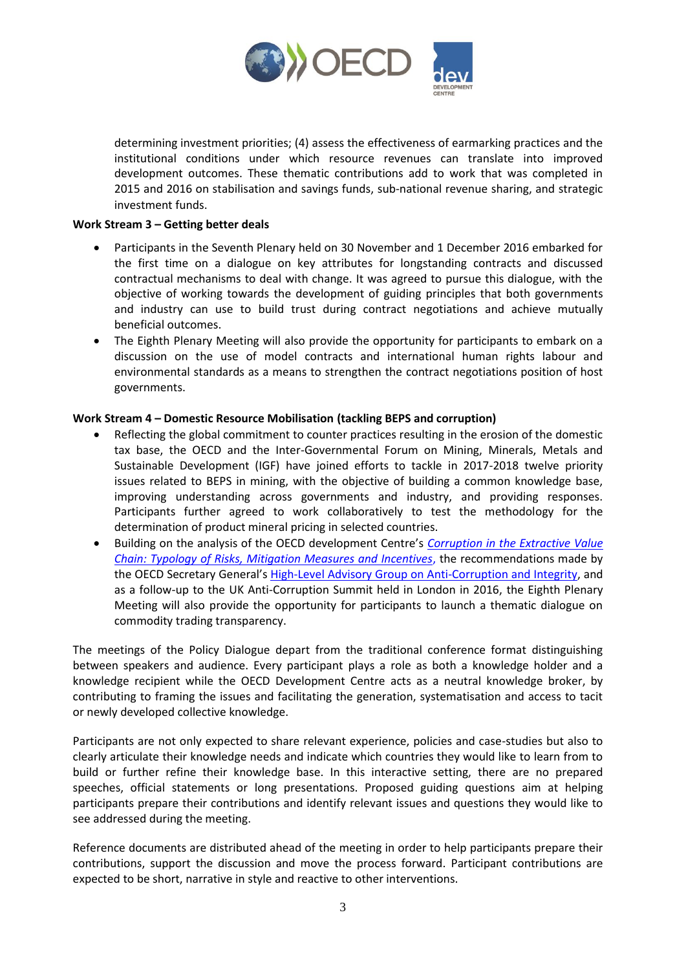

determining investment priorities; (4) assess the effectiveness of earmarking practices and the institutional conditions under which resource revenues can translate into improved development outcomes. These thematic contributions add to work that was completed in 2015 and 2016 on stabilisation and savings funds, sub-national revenue sharing, and strategic investment funds.

#### **Work Stream 3 – Getting better deals**

- Participants in the Seventh Plenary held on 30 November and 1 December 2016 embarked for the first time on a dialogue on key attributes for longstanding contracts and discussed contractual mechanisms to deal with change. It was agreed to pursue this dialogue, with the objective of working towards the development of guiding principles that both governments and industry can use to build trust during contract negotiations and achieve mutually beneficial outcomes.
- The Eighth Plenary Meeting will also provide the opportunity for participants to embark on a discussion on the use of model contracts and international human rights labour and environmental standards as a means to strengthen the contract negotiations position of host governments.

# **Work Stream 4 – Domestic Resource Mobilisation (tackling BEPS and corruption)**

- Reflecting the global commitment to counter practices resulting in the erosion of the domestic tax base, the OECD and the Inter-Governmental Forum on Mining, Minerals, Metals and Sustainable Development (IGF) have joined efforts to tackle in 2017-2018 twelve priority issues related to BEPS in mining, with the objective of building a common knowledge base, improving understanding across governments and industry, and providing responses. Participants further agreed to work collaboratively to test the methodology for the determination of product mineral pricing in selected countries.
- Building on the analysis of the OECD development Centre's *[Corruption in the Extractive Value](http://www.oecd.org/fr/publications/corruption-in-the-extractive-value-chain-9789264256569-en.htm)  [Chain: Typology of Risks, Mitigation Measures and Incentives](http://www.oecd.org/fr/publications/corruption-in-the-extractive-value-chain-9789264256569-en.htm)*, the recommendations made by the OECD Secretary General's [High-Level Advisory Group on Anti-Corruption and Integrity,](https://www.oecd.org/corruption/oecd-hlag-anti-corruption-and-integrity.htm) and as a follow-up to the UK Anti-Corruption Summit held in London in 2016, the Eighth Plenary Meeting will also provide the opportunity for participants to launch a thematic dialogue on commodity trading transparency.

The meetings of the Policy Dialogue depart from the traditional conference format distinguishing between speakers and audience. Every participant plays a role as both a knowledge holder and a knowledge recipient while the OECD Development Centre acts as a neutral knowledge broker, by contributing to framing the issues and facilitating the generation, systematisation and access to tacit or newly developed collective knowledge.

Participants are not only expected to share relevant experience, policies and case-studies but also to clearly articulate their knowledge needs and indicate which countries they would like to learn from to build or further refine their knowledge base. In this interactive setting, there are no prepared speeches, official statements or long presentations. Proposed guiding questions aim at helping participants prepare their contributions and identify relevant issues and questions they would like to see addressed during the meeting.

Reference documents are distributed ahead of the meeting in order to help participants prepare their contributions, support the discussion and move the process forward. Participant contributions are expected to be short, narrative in style and reactive to other interventions.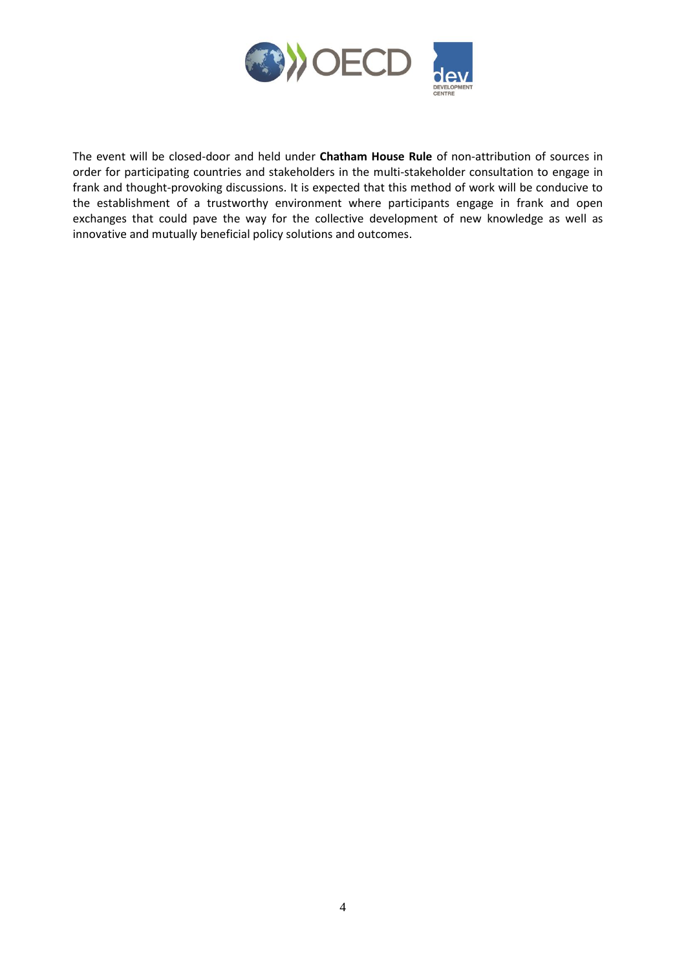

The event will be closed-door and held under **Chatham House Rule** of non-attribution of sources in order for participating countries and stakeholders in the multi-stakeholder consultation to engage in frank and thought-provoking discussions. It is expected that this method of work will be conducive to the establishment of a trustworthy environment where participants engage in frank and open exchanges that could pave the way for the collective development of new knowledge as well as innovative and mutually beneficial policy solutions and outcomes.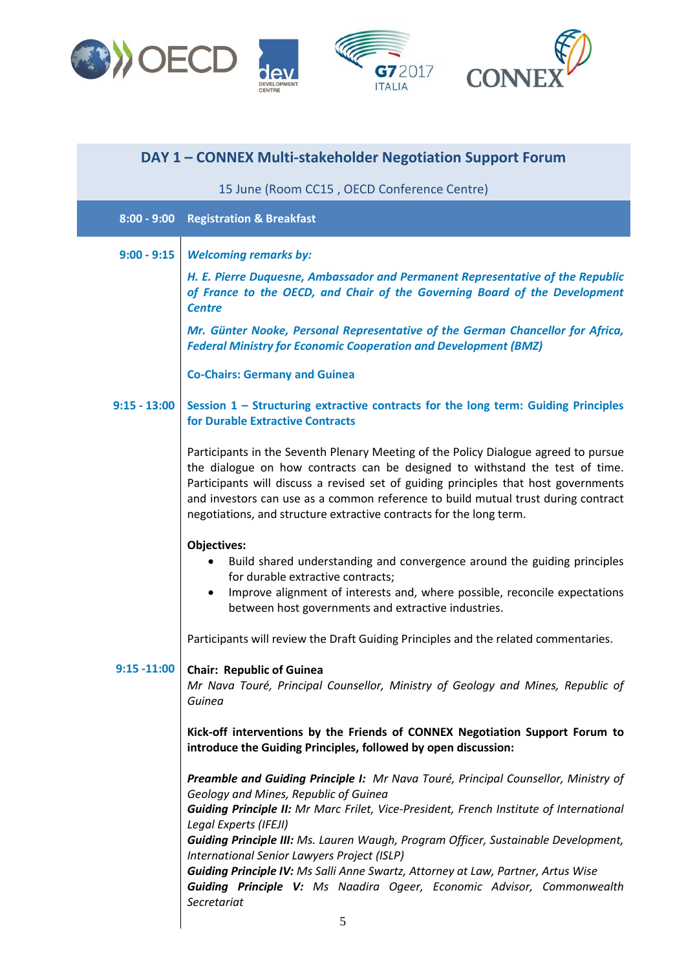

| DAY 1 - CONNEX Multi-stakeholder Negotiation Support Forum |                                                                                                                                                                                                                                                                                                                                                                                                                        |  |
|------------------------------------------------------------|------------------------------------------------------------------------------------------------------------------------------------------------------------------------------------------------------------------------------------------------------------------------------------------------------------------------------------------------------------------------------------------------------------------------|--|
|                                                            | 15 June (Room CC15, OECD Conference Centre)                                                                                                                                                                                                                                                                                                                                                                            |  |
|                                                            | 8:00 - 9:00 Registration & Breakfast                                                                                                                                                                                                                                                                                                                                                                                   |  |
| $9:00 - 9:15$                                              | <b>Welcoming remarks by:</b>                                                                                                                                                                                                                                                                                                                                                                                           |  |
|                                                            | H. E. Pierre Duquesne, Ambassador and Permanent Representative of the Republic<br>of France to the OECD, and Chair of the Governing Board of the Development<br><b>Centre</b>                                                                                                                                                                                                                                          |  |
|                                                            | Mr. Günter Nooke, Personal Representative of the German Chancellor for Africa,<br><b>Federal Ministry for Economic Cooperation and Development (BMZ)</b>                                                                                                                                                                                                                                                               |  |
|                                                            | <b>Co-Chairs: Germany and Guinea</b>                                                                                                                                                                                                                                                                                                                                                                                   |  |
| $9:15 - 13:00$                                             | Session 1 - Structuring extractive contracts for the long term: Guiding Principles<br>for Durable Extractive Contracts                                                                                                                                                                                                                                                                                                 |  |
|                                                            | Participants in the Seventh Plenary Meeting of the Policy Dialogue agreed to pursue<br>the dialogue on how contracts can be designed to withstand the test of time.<br>Participants will discuss a revised set of guiding principles that host governments<br>and investors can use as a common reference to build mutual trust during contract<br>negotiations, and structure extractive contracts for the long term. |  |
|                                                            | <b>Objectives:</b><br>Build shared understanding and convergence around the guiding principles<br>for durable extractive contracts;<br>Improve alignment of interests and, where possible, reconcile expectations<br>between host governments and extractive industries.                                                                                                                                               |  |
|                                                            | Participants will review the Draft Guiding Principles and the related commentaries.                                                                                                                                                                                                                                                                                                                                    |  |
| $9:15 - 11:00$                                             | <b>Chair: Republic of Guinea</b><br>Mr Nava Touré, Principal Counsellor, Ministry of Geology and Mines, Republic of<br>Guinea                                                                                                                                                                                                                                                                                          |  |
|                                                            | Kick-off interventions by the Friends of CONNEX Negotiation Support Forum to<br>introduce the Guiding Principles, followed by open discussion:                                                                                                                                                                                                                                                                         |  |
|                                                            | Preamble and Guiding Principle I: Mr Nava Touré, Principal Counsellor, Ministry of<br>Geology and Mines, Republic of Guinea<br>Guiding Principle II: Mr Marc Frilet, Vice-President, French Institute of International<br>Legal Experts (IFEJI)                                                                                                                                                                        |  |
|                                                            | <b>Guiding Principle III:</b> Ms. Lauren Waugh, Program Officer, Sustainable Development,<br>International Senior Lawyers Project (ISLP)                                                                                                                                                                                                                                                                               |  |
|                                                            | Guiding Principle IV: Ms Salli Anne Swartz, Attorney at Law, Partner, Artus Wise<br><b>Guiding Principle V:</b> Ms Naadira Ogeer, Economic Advisor, Commonwealth<br>Secretariat                                                                                                                                                                                                                                        |  |

 $\overline{\phantom{a}}$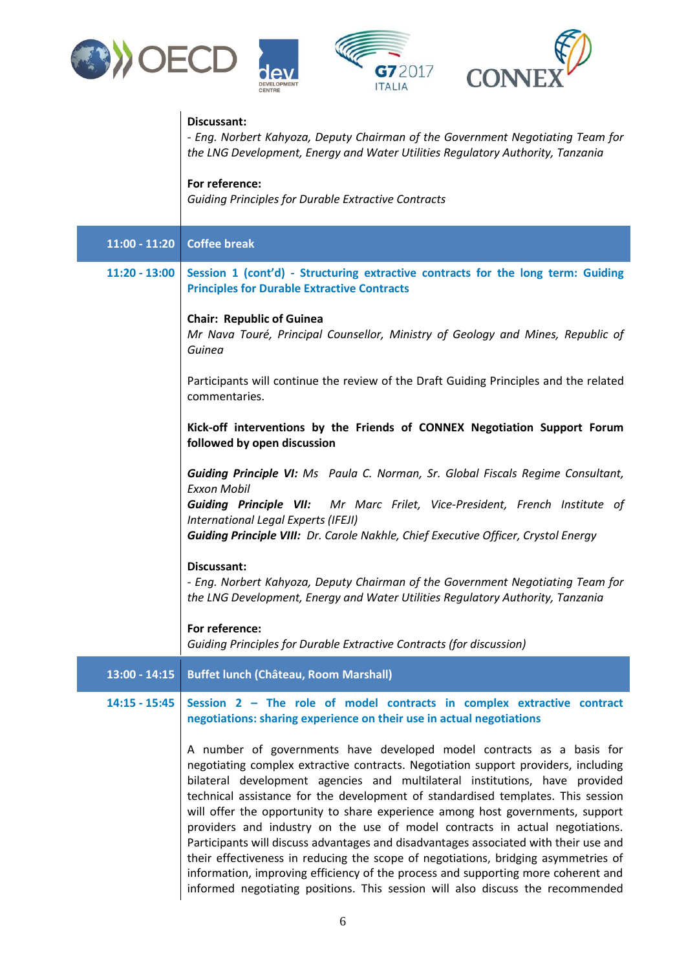

I



|                 | G72017<br><b>CONN</b><br><b>ITALIA</b>                                                                                                                                                                                                                                                                                                                                                                                                                                                                                                                                                                                                                                                                                                                                                                                                                |
|-----------------|-------------------------------------------------------------------------------------------------------------------------------------------------------------------------------------------------------------------------------------------------------------------------------------------------------------------------------------------------------------------------------------------------------------------------------------------------------------------------------------------------------------------------------------------------------------------------------------------------------------------------------------------------------------------------------------------------------------------------------------------------------------------------------------------------------------------------------------------------------|
|                 | Discussant:<br>- Eng. Norbert Kahyoza, Deputy Chairman of the Government Negotiating Team for<br>the LNG Development, Energy and Water Utilities Regulatory Authority, Tanzania                                                                                                                                                                                                                                                                                                                                                                                                                                                                                                                                                                                                                                                                       |
|                 | For reference:<br><b>Guiding Principles for Durable Extractive Contracts</b>                                                                                                                                                                                                                                                                                                                                                                                                                                                                                                                                                                                                                                                                                                                                                                          |
| $11:00 - 11:20$ | <b>Coffee break</b>                                                                                                                                                                                                                                                                                                                                                                                                                                                                                                                                                                                                                                                                                                                                                                                                                                   |
| $11:20 - 13:00$ | Session 1 (cont'd) - Structuring extractive contracts for the long term: Guiding<br><b>Principles for Durable Extractive Contracts</b>                                                                                                                                                                                                                                                                                                                                                                                                                                                                                                                                                                                                                                                                                                                |
|                 | <b>Chair: Republic of Guinea</b><br>Mr Nava Touré, Principal Counsellor, Ministry of Geology and Mines, Republic of<br>Guinea                                                                                                                                                                                                                                                                                                                                                                                                                                                                                                                                                                                                                                                                                                                         |
|                 | Participants will continue the review of the Draft Guiding Principles and the related<br>commentaries.                                                                                                                                                                                                                                                                                                                                                                                                                                                                                                                                                                                                                                                                                                                                                |
|                 | Kick-off interventions by the Friends of CONNEX Negotiation Support Forum<br>followed by open discussion                                                                                                                                                                                                                                                                                                                                                                                                                                                                                                                                                                                                                                                                                                                                              |
|                 | <b>Guiding Principle VI:</b> Ms Paula C. Norman, Sr. Global Fiscals Regime Consultant,<br><b>Exxon Mobil</b><br>Guiding Principle VII: Mr Marc Frilet, Vice-President, French Institute of<br>International Legal Experts (IFEJI)<br>Guiding Principle VIII: Dr. Carole Nakhle, Chief Executive Officer, Crystol Energy                                                                                                                                                                                                                                                                                                                                                                                                                                                                                                                               |
|                 | Discussant:<br>- Eng. Norbert Kahyoza, Deputy Chairman of the Government Negotiating Team for<br>the LNG Development, Energy and Water Utilities Regulatory Authority, Tanzania                                                                                                                                                                                                                                                                                                                                                                                                                                                                                                                                                                                                                                                                       |
|                 | For reference:<br>Guiding Principles for Durable Extractive Contracts (for discussion)                                                                                                                                                                                                                                                                                                                                                                                                                                                                                                                                                                                                                                                                                                                                                                |
| $13:00 - 14:15$ | <b>Buffet lunch (Château, Room Marshall)</b>                                                                                                                                                                                                                                                                                                                                                                                                                                                                                                                                                                                                                                                                                                                                                                                                          |
| $14:15 - 15:45$ | Session 2 - The role of model contracts in complex extractive contract<br>negotiations: sharing experience on their use in actual negotiations                                                                                                                                                                                                                                                                                                                                                                                                                                                                                                                                                                                                                                                                                                        |
|                 | A number of governments have developed model contracts as a basis for<br>negotiating complex extractive contracts. Negotiation support providers, including<br>bilateral development agencies and multilateral institutions, have provided<br>technical assistance for the development of standardised templates. This session<br>will offer the opportunity to share experience among host governments, support<br>providers and industry on the use of model contracts in actual negotiations.<br>Participants will discuss advantages and disadvantages associated with their use and<br>their effectiveness in reducing the scope of negotiations, bridging asymmetries of<br>information, improving efficiency of the process and supporting more coherent and<br>informed negotiating positions. This session will also discuss the recommended |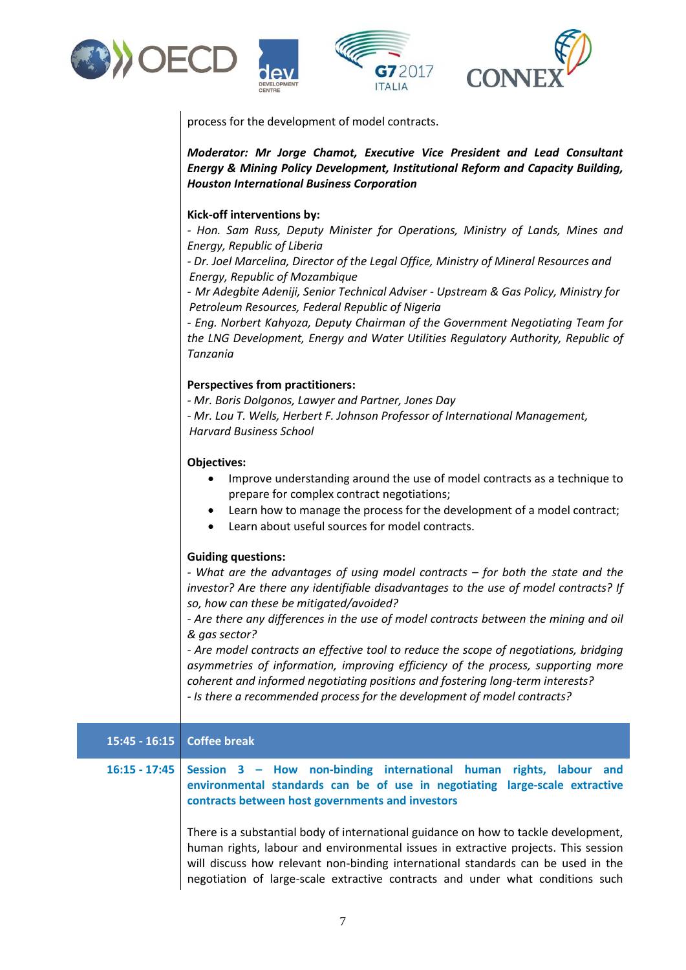







process for the development of model contracts.

*Moderator: Mr Jorge Chamot, Executive Vice President and Lead Consultant Energy & Mining Policy Development, Institutional Reform and Capacity Building, Houston International Business Corporation*

# **Kick-off interventions by:**

*- Hon. Sam Russ, Deputy Minister for Operations, Ministry of Lands, Mines and Energy, Republic of Liberia*

*- Dr. Joel Marcelina, Director of the Legal Office, Ministry of Mineral Resources and Energy, Republic of Mozambique*

*- Mr Adegbite Adeniji, Senior Technical Adviser - Upstream & Gas Policy, Ministry for Petroleum Resources, Federal Republic of Nigeria* 

*- Eng. Norbert Kahyoza, Deputy Chairman of the Government Negotiating Team for the LNG Development, Energy and Water Utilities Regulatory Authority, Republic of Tanzania* 

# **Perspectives from practitioners:**

*- Mr. Boris Dolgonos, Lawyer and Partner, Jones Day*

*- Mr. Lou T. Wells, Herbert F. Johnson Professor of International Management, Harvard Business School*

# **Objectives:**

- Improve understanding around the use of model contracts as a technique to prepare for complex contract negotiations;
- Learn how to manage the process for the development of a model contract;
- Learn about useful sources for model contracts.

#### **Guiding questions:**

*- What are the advantages of using model contracts – for both the state and the investor? Are there any identifiable disadvantages to the use of model contracts? If so, how can these be mitigated/avoided?*

*- Are there any differences in the use of model contracts between the mining and oil & gas sector?*

*- Are model contracts an effective tool to reduce the scope of negotiations, bridging asymmetries of information, improving efficiency of the process, supporting more coherent and informed negotiating positions and fostering long-term interests? - Is there a recommended process for the development of model contracts?*

# **15:45 - 16:15 Coffee break**

# **16:15 - 17:45 Session 3 – How non-binding international human rights, labour and environmental standards can be of use in negotiating large-scale extractive contracts between host governments and investors**

There is a substantial body of international guidance on how to tackle development, human rights, labour and environmental issues in extractive projects. This session will discuss how relevant non-binding international standards can be used in the negotiation of large-scale extractive contracts and under what conditions such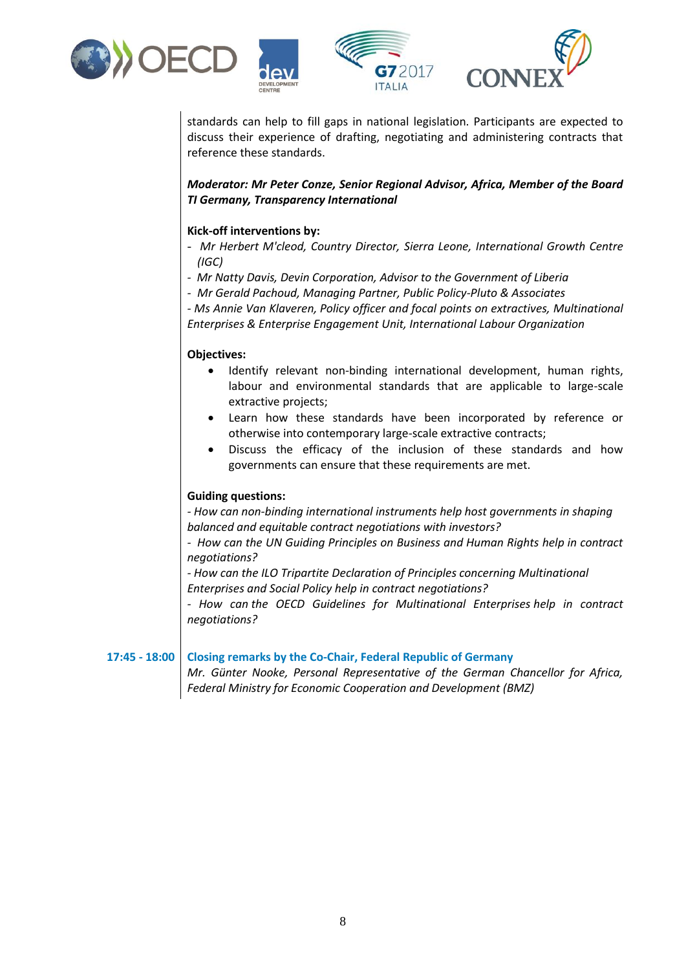



standards can help to fill gaps in national legislation. Participants are expected to discuss their experience of drafting, negotiating and administering contracts that reference these standards.

*Moderator: Mr Peter Conze, Senior Regional Advisor, Africa, Member of the Board TI Germany, Transparency International* 

# **Kick-off interventions by:**

- *Mr Herbert M'cleod, Country Director, Sierra Leone, International Growth Centre (IGC)*
- *- Mr Natty Davis, Devin Corporation, Advisor to the Government of Liberia*
- *- Mr Gerald Pachoud, Managing Partner, Public Policy-Pluto & Associates*

*- Ms Annie Van Klaveren, Policy officer and focal points on extractives, Multinational Enterprises & Enterprise Engagement Unit, International Labour Organization*

# **Objectives:**

- Identify relevant non-binding international development, human rights, labour and environmental standards that are applicable to large-scale extractive projects;
- Learn how these standards have been incorporated by reference or otherwise into contemporary large-scale extractive contracts;
- Discuss the efficacy of the inclusion of these standards and how governments can ensure that these requirements are met.

#### **Guiding questions:**

*- How can non-binding international instruments help host governments in shaping balanced and equitable contract negotiations with investors?* 

*- How can the UN Guiding Principles on Business and Human Rights help in contract negotiations?*

*- How can the ILO Tripartite Declaration of Principles concerning Multinational Enterprises and Social Policy help in contract negotiations?*

*- How can the OECD Guidelines for Multinational Enterprises help in contract negotiations?*

**17:45 - 18:00 Closing remarks by the Co-Chair, Federal Republic of Germany**

*Mr. Günter Nooke, Personal Representative of the German Chancellor for Africa, Federal Ministry for Economic Cooperation and Development (BMZ)*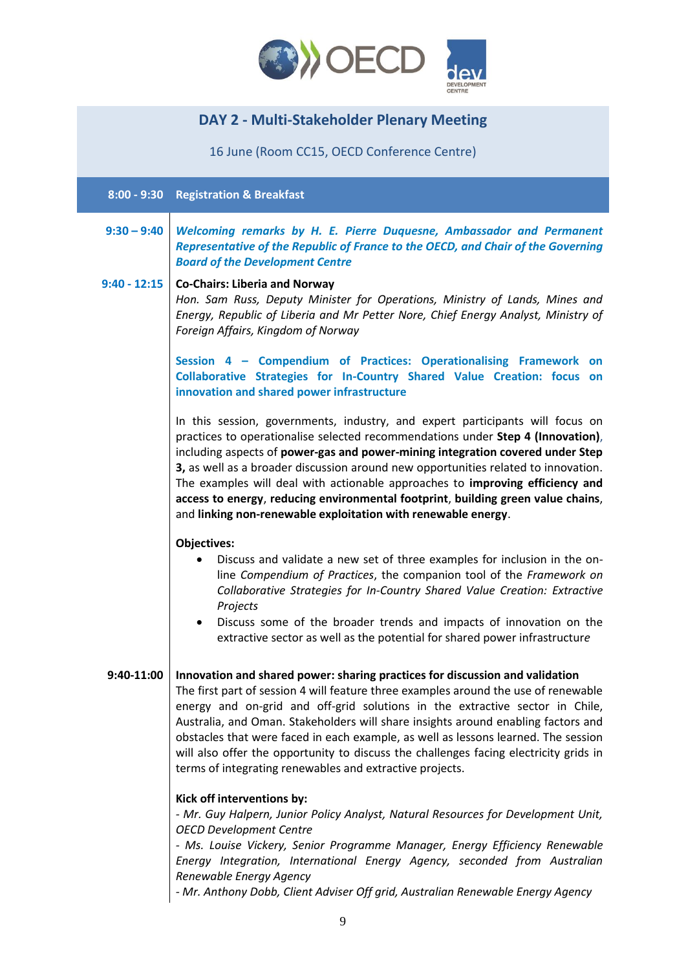

# **DAY 2 - Multi-Stakeholder Plenary Meeting**

16 June (Room CC15, OECD Conference Centre)

**8:00 - 9:30 Registration & Breakfast**

**9:30 – 9:40** *Welcoming remarks by H. E. Pierre Duquesne, Ambassador and Permanent Representative of the Republic of France to the OECD, and Chair of the Governing Board of the Development Centre*

# **9:40 - 12:15 Co-Chairs: Liberia and Norway** *Hon. Sam Russ, Deputy Minister for Operations, Ministry of Lands, Mines and Energy, Republic of Liberia and Mr Petter Nore, Chief Energy Analyst, Ministry of Foreign Affairs, Kingdom of Norway*

**Session 4 – Compendium of Practices: Operationalising Framework on Collaborative Strategies for In-Country Shared Value Creation: focus on innovation and shared power infrastructure** 

In this session, governments, industry, and expert participants will focus on practices to operationalise selected recommendations under **Step 4 (Innovation)**, including aspects of **power-gas and power-mining integration covered under Step 3,** as well as a broader discussion around new opportunities related to innovation. The examples will deal with actionable approaches to **improving efficiency and access to energy**, **reducing environmental footprint**, **building green value chains**, and **linking non-renewable exploitation with renewable energy**.

#### **Objectives:**

- Discuss and validate a new set of three examples for inclusion in the online *Compendium of Practices*, the companion tool of the *Framework on Collaborative Strategies for In-Country Shared Value Creation: Extractive Projects*
- Discuss some of the broader trends and impacts of innovation on the extractive sector as well as the potential for shared power infrastructur*e*

#### **9:40-11:00 Innovation and shared power: sharing practices for discussion and validation**

The first part of session 4 will feature three examples around the use of renewable energy and on-grid and off-grid solutions in the extractive sector in Chile, Australia, and Oman. Stakeholders will share insights around enabling factors and obstacles that were faced in each example, as well as lessons learned. The session will also offer the opportunity to discuss the challenges facing electricity grids in terms of integrating renewables and extractive projects.

#### **Kick off interventions by:**

*- Mr. Guy Halpern, Junior Policy Analyst, Natural Resources for Development Unit, OECD Development Centre*

*- Ms. Louise Vickery, Senior Programme Manager, Energy Efficiency Renewable Energy Integration, International Energy Agency, seconded from Australian Renewable Energy Agency*

*- Mr. Anthony Dobb, Client Adviser Off grid, Australian Renewable Energy Agency*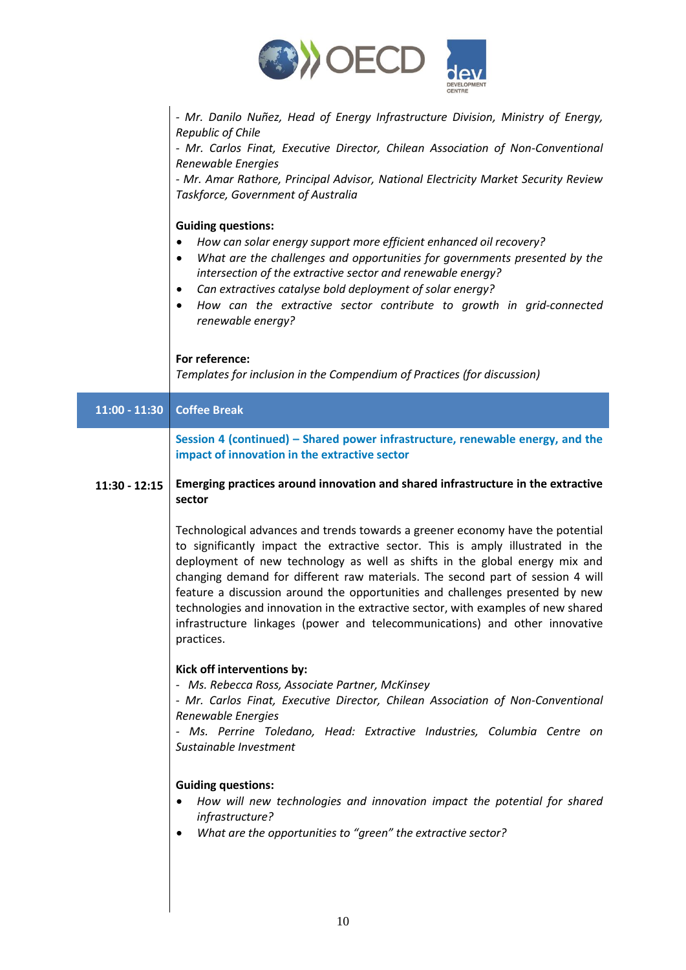

*- Mr. Danilo Nuñez, Head of Energy Infrastructure Division, Ministry of Energy, Republic of Chile* 

*- Mr. Carlos Finat, Executive Director, Chilean Association of Non-Conventional Renewable Energies*

*- Mr. Amar Rathore, Principal Advisor, National Electricity Market Security Review Taskforce, Government of Australia*

# **Guiding questions:**

- *How can solar energy support more efficient enhanced oil recovery?*
- *What are the challenges and opportunities for governments presented by the intersection of the extractive sector and renewable energy?*
- *Can extractives catalyse bold deployment of solar energy?*
- *How can the extractive sector contribute to growth in grid-connected renewable energy?*

# **For reference:**

*Templates for inclusion in the Compendium of Practices (for discussion)*

| $11:00 - 11:30$ | <b>Coffee Break</b>                                                                                                                                                                                                                                                                                                                                                                                                                                                                                                                                                                                   |
|-----------------|-------------------------------------------------------------------------------------------------------------------------------------------------------------------------------------------------------------------------------------------------------------------------------------------------------------------------------------------------------------------------------------------------------------------------------------------------------------------------------------------------------------------------------------------------------------------------------------------------------|
|                 | Session 4 (continued) – Shared power infrastructure, renewable energy, and the<br>impact of innovation in the extractive sector                                                                                                                                                                                                                                                                                                                                                                                                                                                                       |
| $11:30 - 12:15$ | Emerging practices around innovation and shared infrastructure in the extractive<br>sector                                                                                                                                                                                                                                                                                                                                                                                                                                                                                                            |
|                 | Technological advances and trends towards a greener economy have the potential<br>to significantly impact the extractive sector. This is amply illustrated in the<br>deployment of new technology as well as shifts in the global energy mix and<br>changing demand for different raw materials. The second part of session 4 will<br>feature a discussion around the opportunities and challenges presented by new<br>technologies and innovation in the extractive sector, with examples of new shared<br>infrastructure linkages (power and telecommunications) and other innovative<br>practices. |
|                 | Kick off interventions by:<br>- Ms. Rebecca Ross, Associate Partner, McKinsey<br>- Mr. Carlos Finat, Executive Director, Chilean Association of Non-Conventional<br>Renewable Energies<br>- Ms. Perrine Toledano, Head: Extractive Industries, Columbia Centre on<br>Sustainable Investment                                                                                                                                                                                                                                                                                                           |
|                 | <b>Guiding questions:</b><br>How will new technologies and innovation impact the potential for shared<br>$\bullet$<br>infrastructure?<br>What are the opportunities to "green" the extractive sector?<br>$\bullet$                                                                                                                                                                                                                                                                                                                                                                                    |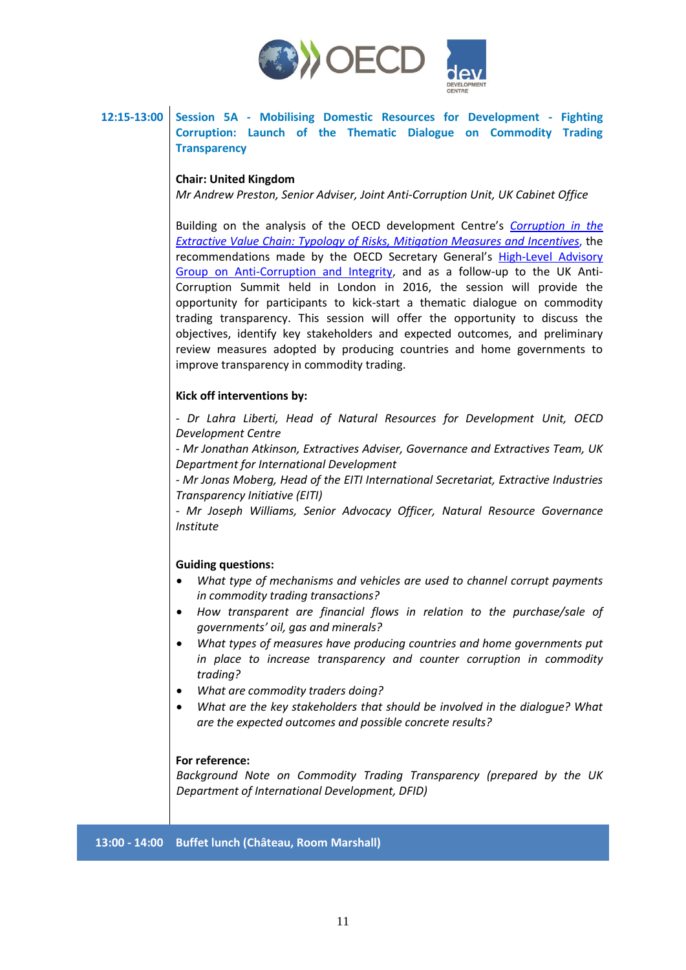

# **12:15-13:00 Session 5A - Mobilising Domestic Resources for Development - Fighting Corruption: Launch of the Thematic Dialogue on Commodity Trading Transparency**

### **Chair: United Kingdom**

*Mr Andrew Preston, Senior Adviser, Joint Anti-Corruption Unit, UK Cabinet Office*

Building on the analysis of the OECD development Centre's *[Corruption in the](http://www.oecd.org/fr/publications/corruption-in-the-extractive-value-chain-9789264256569-en.htm)  [Extractive Value Chain: Typology of Risks, Mitigation Measures and](http://www.oecd.org/fr/publications/corruption-in-the-extractive-value-chain-9789264256569-en.htm) Incentives*, the recommendations made by the OECD Secretary General's [High-Level Advisory](https://www.oecd.org/corruption/oecd-hlag-anti-corruption-and-integrity.htm)  [Group on Anti-Corruption and Integrity,](https://www.oecd.org/corruption/oecd-hlag-anti-corruption-and-integrity.htm) and as a follow-up to the UK Anti-Corruption Summit held in London in 2016, the session will provide the opportunity for participants to kick-start a thematic dialogue on commodity trading transparency. This session will offer the opportunity to discuss the objectives, identify key stakeholders and expected outcomes, and preliminary review measures adopted by producing countries and home governments to improve transparency in commodity trading.

#### **Kick off interventions by:**

*- Dr Lahra Liberti, Head of Natural Resources for Development Unit, OECD Development Centre*

*- Mr Jonathan Atkinson, Extractives Adviser, Governance and Extractives Team, UK Department for International Development*

*- Mr Jonas Moberg, Head of the EITI International Secretariat, Extractive Industries Transparency Initiative (EITI)*

*- Mr Joseph Williams, Senior Advocacy Officer, Natural Resource Governance Institute*

#### **Guiding questions:**

- *What type of mechanisms and vehicles are used to channel corrupt payments in commodity trading transactions?*
- *How transparent are financial flows in relation to the purchase/sale of governments' oil, gas and minerals?*
- *What types of measures have producing countries and home governments put in place to increase transparency and counter corruption in commodity trading?*
- *What are commodity traders doing?*
- *What are the key stakeholders that should be involved in the dialogue? What are the expected outcomes and possible concrete results?*

#### **For reference:**

*Background Note on Commodity Trading Transparency (prepared by the UK Department of International Development, DFID)*

#### **13:00 - 14:00 Buffet lunch (Château, Room Marshall)**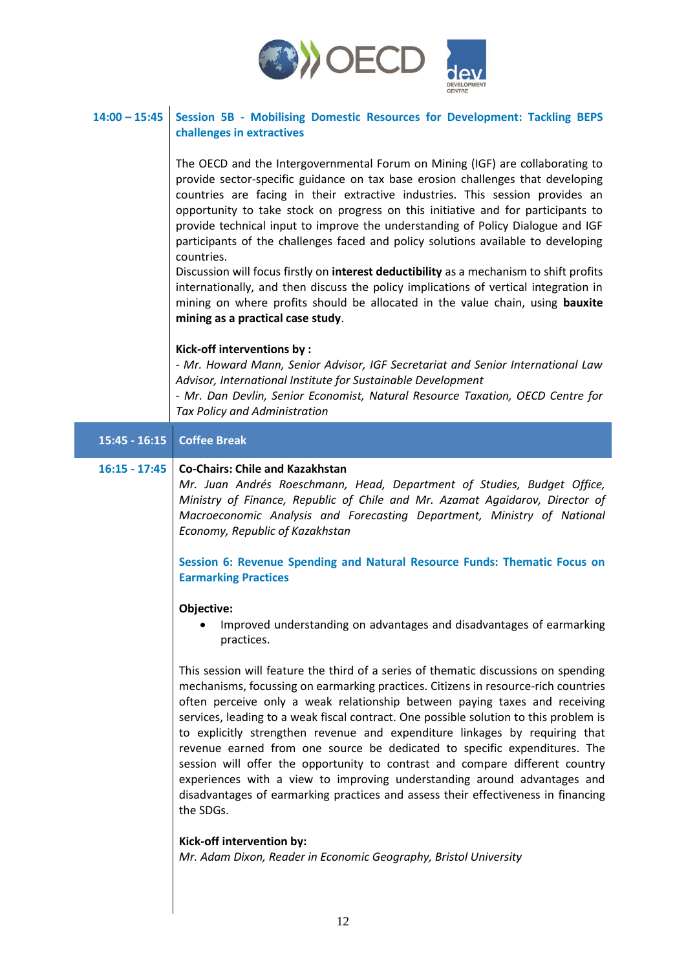

# **14:00 – 15:45 Session 5B - Mobilising Domestic Resources for Development: Tackling BEPS challenges in extractives**

The OECD and the Intergovernmental Forum on Mining (IGF) are collaborating to provide sector-specific guidance on tax base erosion challenges that developing countries are facing in their extractive industries. This session provides an opportunity to take stock on progress on this initiative and for participants to provide technical input to improve the understanding of Policy Dialogue and IGF participants of the challenges faced and policy solutions available to developing countries.

Discussion will focus firstly on **interest deductibility** as a mechanism to shift profits internationally, and then discuss the policy implications of vertical integration in mining on where profits should be allocated in the value chain, using **bauxite mining as a practical case study**.

#### **Kick-off interventions by :**

*- Mr. Howard Mann, Senior Advisor, IGF Secretariat and Senior International Law Advisor, International Institute for Sustainable Development*

*- Mr. Dan Devlin, Senior Economist, Natural Resource Taxation, OECD Centre for Tax Policy and Administration*

#### **15:45 - 16:15 Coffee Break**

#### **16:15 - 17:45 Co-Chairs: Chile and Kazakhstan**

*Mr. Juan Andrés Roeschmann, Head, Department of Studies, Budget Office, Ministry of Finance, Republic of Chile and Mr. Azamat Agaidarov, Director of Macroeconomic Analysis and Forecasting Department, Ministry of National Economy, Republic of Kazakhstan*

**Session 6: Revenue Spending and Natural Resource Funds: Thematic Focus on Earmarking Practices**

#### **Objective:**

 Improved understanding on advantages and disadvantages of earmarking practices.

This session will feature the third of a series of thematic discussions on spending mechanisms, focussing on earmarking practices. Citizens in resource-rich countries often perceive only a weak relationship between paying taxes and receiving services, leading to a weak fiscal contract. One possible solution to this problem is to explicitly strengthen revenue and expenditure linkages by requiring that revenue earned from one source be dedicated to specific expenditures. The session will offer the opportunity to contrast and compare different country experiences with a view to improving understanding around advantages and disadvantages of earmarking practices and assess their effectiveness in financing the SDGs.

#### **Kick-off intervention by:**

*Mr. Adam Dixon, Reader in Economic Geography, Bristol University*